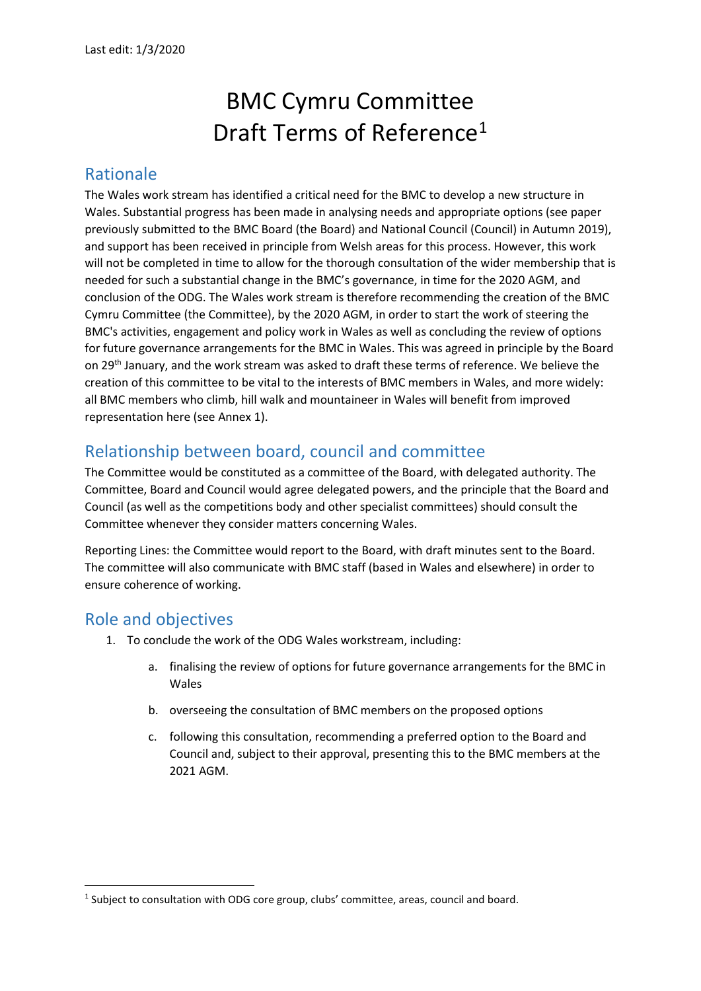# BMC Cymru Committee Draft Terms of Reference<sup>1</sup>

## Rationale

The Wales work stream has identified a critical need for the BMC to develop a new structure in Wales. Substantial progress has been made in analysing needs and appropriate options (see paper previously submitted to the BMC Board (the Board) and National Council (Council) in Autumn 2019), and support has been received in principle from Welsh areas for this process. However, this work will not be completed in time to allow for the thorough consultation of the wider membership that is needed for such a substantial change in the BMC's governance, in time for the 2020 AGM, and conclusion of the ODG. The Wales work stream is therefore recommending the creation of the BMC Cymru Committee (the Committee), by the 2020 AGM, in order to start the work of steering the BMC's activities, engagement and policy work in Wales as well as concluding the review of options for future governance arrangements for the BMC in Wales. This was agreed in principle by the Board on 29th January, and the work stream was asked to draft these terms of reference. We believe the creation of this committee to be vital to the interests of BMC members in Wales, and more widely: all BMC members who climb, hill walk and mountaineer in Wales will benefit from improved representation here (see Annex 1).

# Relationship between board, council and committee

The Committee would be constituted as a committee of the Board, with delegated authority. The Committee, Board and Council would agree delegated powers, and the principle that the Board and Council (as well as the competitions body and other specialist committees) should consult the Committee whenever they consider matters concerning Wales.

Reporting Lines: the Committee would report to the Board, with draft minutes sent to the Board. The committee will also communicate with BMC staff (based in Wales and elsewhere) in order to ensure coherence of working.

## Role and objectives

**.** 

- 1. To conclude the work of the ODG Wales workstream, including:
	- a. finalising the review of options for future governance arrangements for the BMC in Wales
	- b. overseeing the consultation of BMC members on the proposed options
	- c. following this consultation, recommending a preferred option to the Board and Council and, subject to their approval, presenting this to the BMC members at the 2021 AGM.

<sup>&</sup>lt;sup>1</sup> Subject to consultation with ODG core group, clubs' committee, areas, council and board.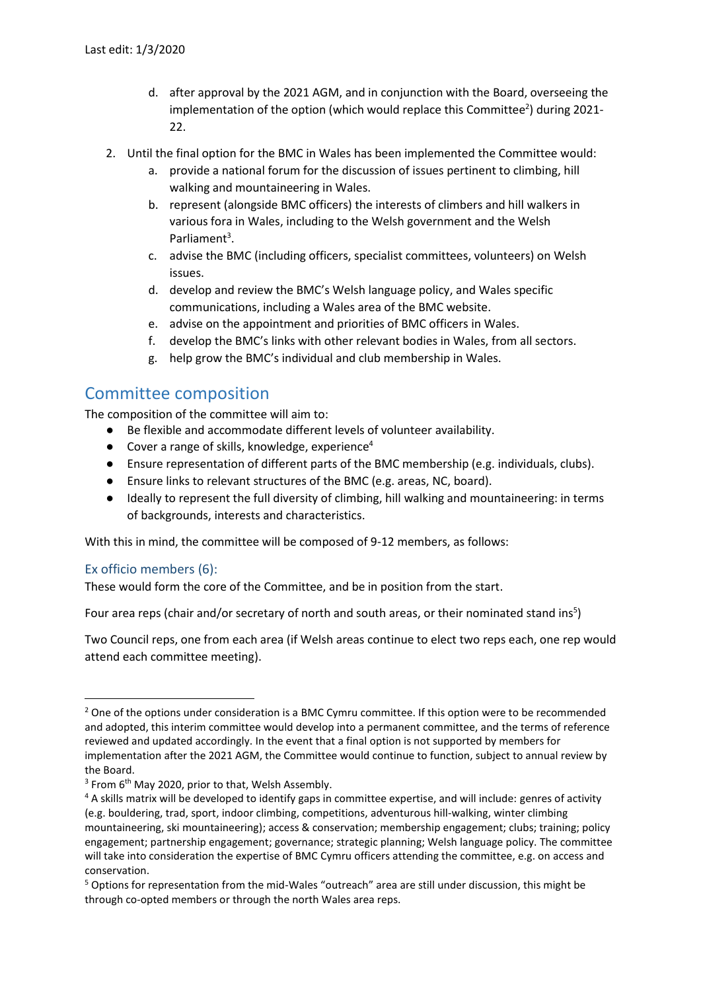- d. after approval by the 2021 AGM, and in conjunction with the Board, overseeing the implementation of the option (which would replace this Committee<sup>2</sup>) during 2021-22.
- 2. Until the final option for the BMC in Wales has been implemented the Committee would:
	- a. provide a national forum for the discussion of issues pertinent to climbing, hill walking and mountaineering in Wales.
	- b. represent (alongside BMC officers) the interests of climbers and hill walkers in various fora in Wales, including to the Welsh government and the Welsh Parliament<sup>3</sup>.
	- c. advise the BMC (including officers, specialist committees, volunteers) on Welsh issues.
	- d. develop and review the BMC's Welsh language policy, and Wales specific communications, including a Wales area of the BMC website.
	- e. advise on the appointment and priorities of BMC officers in Wales.
	- f. develop the BMC's links with other relevant bodies in Wales, from all sectors.
	- g. help grow the BMC's individual and club membership in Wales.

## Committee composition

The composition of the committee will aim to:

- Be flexible and accommodate different levels of volunteer availability.
- $\bullet$  Cover a range of skills, knowledge, experience<sup>4</sup>
- Ensure representation of different parts of the BMC membership (e.g. individuals, clubs).
- Ensure links to relevant structures of the BMC (e.g. areas, NC, board).
- Ideally to represent the full diversity of climbing, hill walking and mountaineering: in terms of backgrounds, interests and characteristics.

With this in mind, the committee will be composed of 9-12 members, as follows:

#### Ex officio members (6):

**.** 

These would form the core of the Committee, and be in position from the start.

Four area reps (chair and/or secretary of north and south areas, or their nominated stand ins<sup>5</sup>)

Two Council reps, one from each area (if Welsh areas continue to elect two reps each, one rep would attend each committee meeting).

<sup>&</sup>lt;sup>2</sup> One of the options under consideration is a BMC Cymru committee. If this option were to be recommended and adopted, this interim committee would develop into a permanent committee, and the terms of reference reviewed and updated accordingly. In the event that a final option is not supported by members for implementation after the 2021 AGM, the Committee would continue to function, subject to annual review by the Board.

<sup>&</sup>lt;sup>3</sup> From 6<sup>th</sup> May 2020, prior to that, Welsh Assembly.

<sup>4</sup> A skills matrix will be developed to identify gaps in committee expertise, and will include: genres of activity (e.g. bouldering, trad, sport, indoor climbing, competitions, adventurous hill-walking, winter climbing mountaineering, ski mountaineering); access & conservation; membership engagement; clubs; training; policy engagement; partnership engagement; governance; strategic planning; Welsh language policy. The committee will take into consideration the expertise of BMC Cymru officers attending the committee, e.g. on access and conservation.

<sup>5</sup> Options for representation from the mid-Wales "outreach" area are still under discussion, this might be through co-opted members or through the north Wales area reps.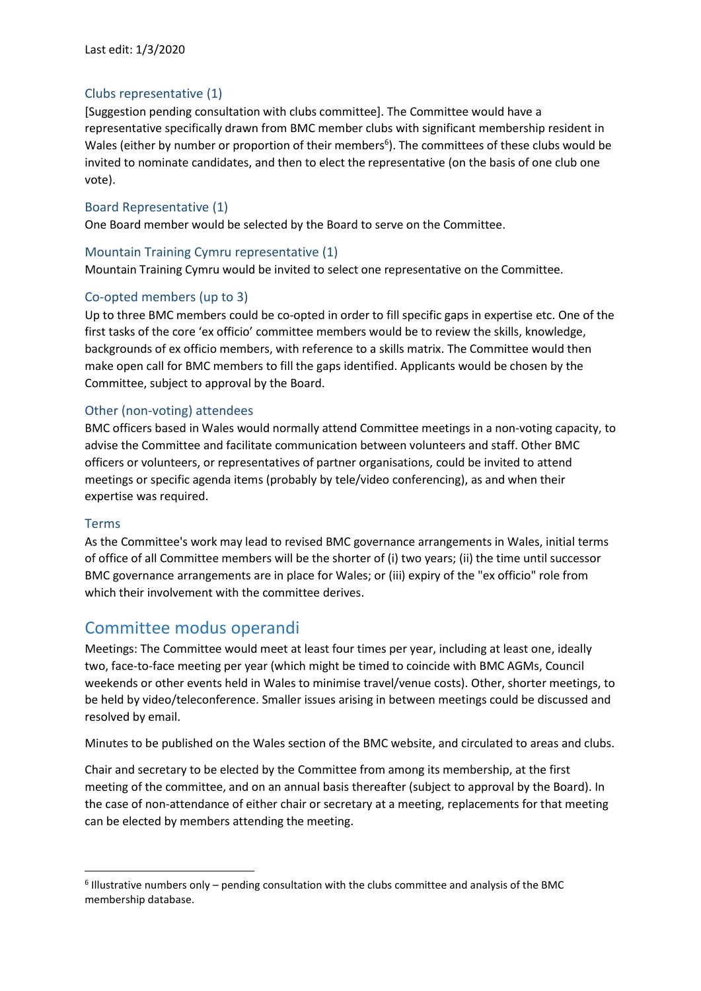## Clubs representative (1)

[Suggestion pending consultation with clubs committee]. The Committee would have a representative specifically drawn from BMC member clubs with significant membership resident in Wales (either by number or proportion of their members<sup>6</sup>). The committees of these clubs would be invited to nominate candidates, and then to elect the representative (on the basis of one club one vote).

### Board Representative (1)

One Board member would be selected by the Board to serve on the Committee.

#### Mountain Training Cymru representative (1)

Mountain Training Cymru would be invited to select one representative on the Committee.

#### Co-opted members (up to 3)

Up to three BMC members could be co-opted in order to fill specific gaps in expertise etc. One of the first tasks of the core 'ex officio' committee members would be to review the skills, knowledge, backgrounds of ex officio members, with reference to a skills matrix. The Committee would then make open call for BMC members to fill the gaps identified. Applicants would be chosen by the Committee, subject to approval by the Board.

#### Other (non-voting) attendees

BMC officers based in Wales would normally attend Committee meetings in a non-voting capacity, to advise the Committee and facilitate communication between volunteers and staff. Other BMC officers or volunteers, or representatives of partner organisations, could be invited to attend meetings or specific agenda items (probably by tele/video conferencing), as and when their expertise was required.

#### Terms

1

As the Committee's work may lead to revised BMC governance arrangements in Wales, initial terms of office of all Committee members will be the shorter of (i) two years; (ii) the time until successor BMC governance arrangements are in place for Wales; or (iii) expiry of the "ex officio" role from which their involvement with the committee derives.

## Committee modus operandi

Meetings: The Committee would meet at least four times per year, including at least one, ideally two, face-to-face meeting per year (which might be timed to coincide with BMC AGMs, Council weekends or other events held in Wales to minimise travel/venue costs). Other, shorter meetings, to be held by video/teleconference. Smaller issues arising in between meetings could be discussed and resolved by email.

Minutes to be published on the Wales section of the BMC website, and circulated to areas and clubs.

Chair and secretary to be elected by the Committee from among its membership, at the first meeting of the committee, and on an annual basis thereafter (subject to approval by the Board). In the case of non-attendance of either chair or secretary at a meeting, replacements for that meeting can be elected by members attending the meeting.

<sup>6</sup> Illustrative numbers only – pending consultation with the clubs committee and analysis of the BMC membership database.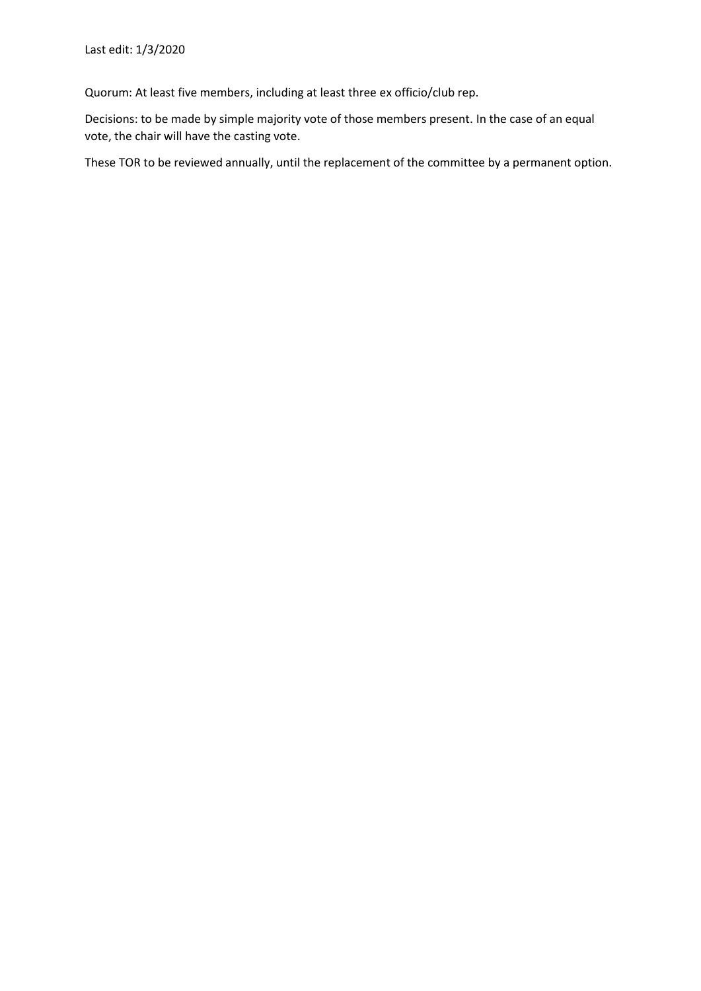Quorum: At least five members, including at least three ex officio/club rep.

Decisions: to be made by simple majority vote of those members present. In the case of an equal vote, the chair will have the casting vote.

These TOR to be reviewed annually, until the replacement of the committee by a permanent option.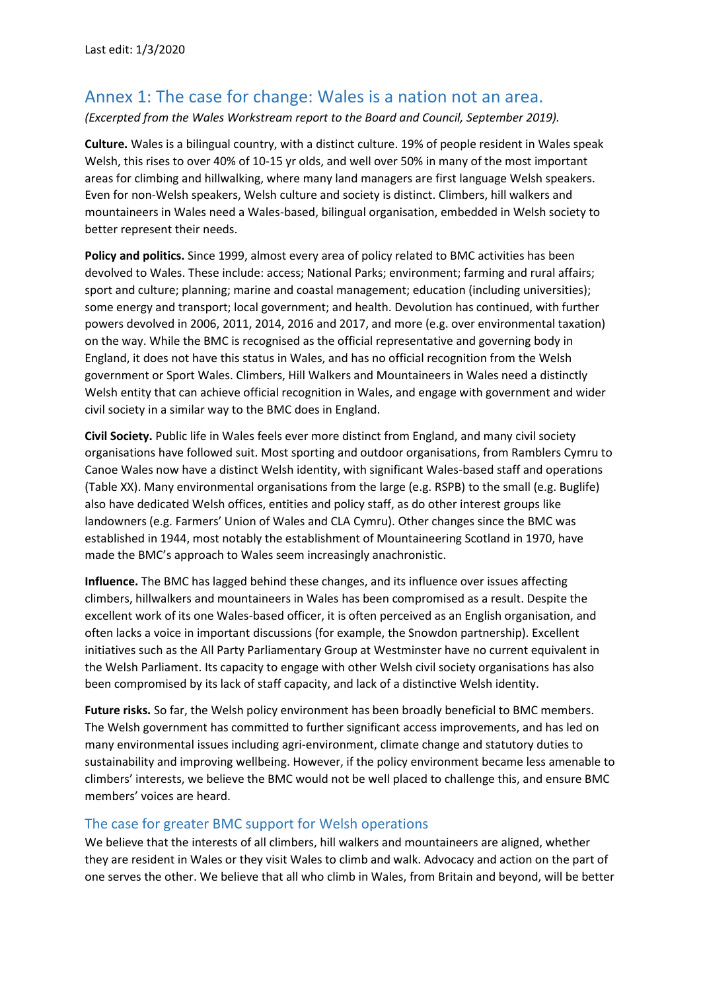## Annex 1: The case for change: Wales is a nation not an area.

*(Excerpted from the Wales Workstream report to the Board and Council, September 2019).*

**Culture.** Wales is a bilingual country, with a distinct culture. 19% of people resident in Wales speak Welsh, this rises to over 40% of 10-15 yr olds, and well over 50% in many of the most important areas for climbing and hillwalking, where many land managers are first language Welsh speakers. Even for non-Welsh speakers, Welsh culture and society is distinct. Climbers, hill walkers and mountaineers in Wales need a Wales-based, bilingual organisation, embedded in Welsh society to better represent their needs.

**Policy and politics.** Since 1999, almost every area of policy related to BMC activities has been devolved to Wales. These include: access; National Parks; environment; farming and rural affairs; sport and culture; planning; marine and coastal management; education (including universities); some energy and transport; local government; and health. Devolution has continued, with further powers devolved in 2006, 2011, 2014, 2016 and 2017, and more (e.g. over environmental taxation) on the way. While the BMC is recognised as the official representative and governing body in England, it does not have this status in Wales, and has no official recognition from the Welsh government or Sport Wales. Climbers, Hill Walkers and Mountaineers in Wales need a distinctly Welsh entity that can achieve official recognition in Wales, and engage with government and wider civil society in a similar way to the BMC does in England.

**Civil Society.** Public life in Wales feels ever more distinct from England, and many civil society organisations have followed suit. Most sporting and outdoor organisations, from Ramblers Cymru to Canoe Wales now have a distinct Welsh identity, with significant Wales-based staff and operations (Table XX). Many environmental organisations from the large (e.g. RSPB) to the small (e.g. Buglife) also have dedicated Welsh offices, entities and policy staff, as do other interest groups like landowners (e.g. Farmers' Union of Wales and CLA Cymru). Other changes since the BMC was established in 1944, most notably the establishment of Mountaineering Scotland in 1970, have made the BMC's approach to Wales seem increasingly anachronistic.

**Influence.** The BMC has lagged behind these changes, and its influence over issues affecting climbers, hillwalkers and mountaineers in Wales has been compromised as a result. Despite the excellent work of its one Wales-based officer, it is often perceived as an English organisation, and often lacks a voice in important discussions (for example, the Snowdon partnership). Excellent initiatives such as the All Party Parliamentary Group at Westminster have no current equivalent in the Welsh Parliament. Its capacity to engage with other Welsh civil society organisations has also been compromised by its lack of staff capacity, and lack of a distinctive Welsh identity.

**Future risks.** So far, the Welsh policy environment has been broadly beneficial to BMC members. The Welsh government has committed to further significant access improvements, and has led on many environmental issues including agri-environment, climate change and statutory duties to sustainability and improving wellbeing. However, if the policy environment became less amenable to climbers' interests, we believe the BMC would not be well placed to challenge this, and ensure BMC members' voices are heard.

#### The case for greater BMC support for Welsh operations

We believe that the interests of all climbers, hill walkers and mountaineers are aligned, whether they are resident in Wales or they visit Wales to climb and walk. Advocacy and action on the part of one serves the other. We believe that all who climb in Wales, from Britain and beyond, will be better